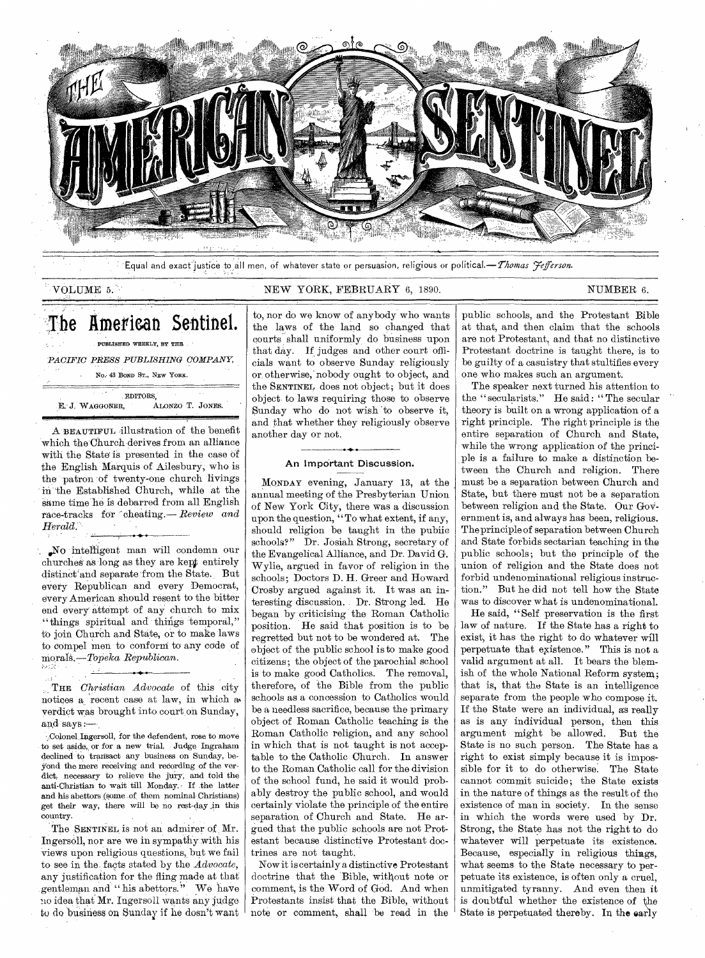

Equal and exact justice to all men, of whatever state or persuasion, religious or political.— Thomas *Jefferson*.

# VOLUME 5. NEW YORK, FEBRUARY 6, 1890. NUMBER 6.

The American Sentinel.

PUBLISHED WEEKLY, BY THE *PACIFIC PRESS PUBLISHING COMPANY,* 

No. 43 BOND ST., NEW YORK.

EDITORS, E. J. WAGGONER, ALONZO T. JONES.

A BEAUTIVUL illustration of the benefit which the Church derives from an alliance with the State is presented in the case of the English Marquis of Ailesbury, who is the patron of twenty-one church livings in the Established Church, while at the Same time he is debarred from all English race-tracks for cheating.— *Review and Herald.* 

,,No intelligent man will condemn our churcheS as long as they are kept entirely distinct and separate from the State. But every Republican and every Democrat, every American should resent to the bitter end every attempt of any church to mix "things spiritual and things 'temporal," to join Church and State, or to make laws to compel men to conform to' any code of morals.—.Topeka *Republican.* 

THE *Christian Advocate* of this city notices a recent case at law, in which a verdict was brought into court on Sunday, and says :—

 $\pm$  2.

. Colonel Ingersoll, for the defendent, rose to move to set aside,, or for a new trial. Judge Ingraham declined to transact any business on Sunday, beyond the mere receiving and recording of the verdict, necessary to relieve the jury, and told the anti-Christian to wait till Monday.<sup>,</sup> If the latter and his abettors (some of, them nominal Christians) get their way, there will be no rest-day in this country.

The SENTINEL is not an admirer of Mr. Ingersoll, nor are we in sympathy with his views upon religious questions, but we fail to see in the. facts stated by the *Advocate,*  any justification for the fling made at that gentleman and "his abettors." We have no idea that Mr. Ingersoll wants any judge to do bisiness on Sunday if he dosn't want

to, nor do we know of anybody who wants the laws of the land so changed that courts shall uniformly do business upon that day. If judges and other court officials want to observe Sunday religiously or otherwise, nobody ought to object, and the SENTINEL does not object; but it does object to laws requiring those to observe Sunday who do not wish 'to observe it, and that whether they religiously observe another day or not.

# An Important Discussion.

MONDAY evening, January 13, at the annual meeting of the Presbyterian Union of New York City, there was a discussion upon the question, "To what extent, if any, should religion be taught in the public schools?" Dr. Josiah Strong, secretary of the Evangelical Alliance, and Dr. David G. Wylie, argued in favor of religion in the schools; Doctors D. H. Greer and Howard Crosby argued against it. It was an interesting discussion. Dr. Strong led. He began by criticising the Roman Catholic position. He said that position is to be regretted but not to be wondered at. The object of the public school is to make good citizens; the object of the parochial school is to make good Catholics. The removal, therefore, of the Bible from the public schools as a concession to Catholics would be a needless sacrifice, because the primary object of Roman Catholic teaching is the Roman Catholic religion, and any school in which that is not taught is not acceptable to the Catholic Church. In answer to the Roman Catholic call for the division of the school fund, he said it would probably destroy the public school, and would certainly violate the principle of the entire separation of Church and State. He argued that the public schools are not Protestant because distinctive Protestant doctrines are not taught.

Now it is certainly a distinctive Protestant doctrine that the Bible, without note or comment, is the Word of God. And when Protestants insist that the Bible, without note or comment, shall be read in the

public schools, and the Protestant Bible at that, and then claim that the schools are not Protestant, and that no distinctive Protestant doctrine is taught there, is to be guilty of a casuistry that stultifies every one who makes such an argument.

The speaker next turned his attention to the " secularists." He said: "The secular theory is built on a wrong application of a right principle. The right principle is the entire separation of Church and State, while the wrong application of the principle is a failure to make a distinction between the Church and religion. There must be a separation between Church and State, but there must not be a separation between religion and the State. Our GoVernment is, and always has been, religious. The principle of separation between Church and State forbids sectarian teaching in the public schools; but the principle of the union of religion and the State does not forbid undenominational religious instruction." But he did not tell how the State was to discover what is undenominational.

He said, " Self preservation is the first law of nature. If the State has a right to exist, it has the right to do whatever will perpetuate that existence." This is not a valid argument at all. It bears the blemish of the whole National Reform system; that is, that the State is an intelligence separate from the people who compose it. If the State were an individual, as really as is any individual person, then this argument might be allowed. But the State is no such person. The State has a right to exist simply because it is impossible for it to do otherwise. The State cannot commit suicide; the State exists in the nature of things as the result of the existence of man in society. In the sense in which the words were used by Dr. Strong, the State has not the right to do whatever will perpetuate its existence. Because, especially in religious things, what seems to the State necessary to perpetuate its existence, is often only a cruel, unmitigated tyranny. And even then it is doubtful whether the existence of the State is perpetuated thereby. In the early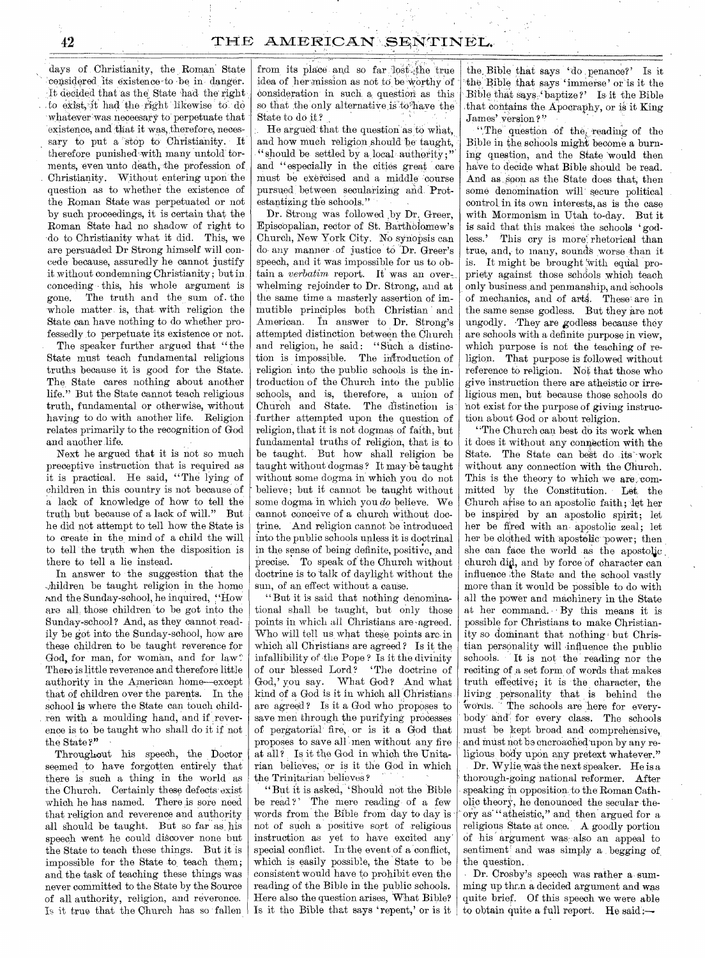days of Christianity, the Roman State 'considered its existence to be in danger. It decided that as the State had the right to exist, it had the right likewise to do whatever was neceesary to perpetuate that existence, and that it was, therefore, necessary to put a stop to Christianity. It therefore punished with many untold torments, even unto death, the profession of Christianity. Without entering upon the question as to whether the existence of the Roman State was perpetuated or not by such proceedings, it is certain that the Roman State had no shadow of right to 'do to Christianity what it did. This, we are persuaded Dr Strong himself will concede because, assuredly he cannot justify it without condemning Christianity; but in conceding this, his whole argument is gone. The truth and the sum of . the whole matter is, that with religion the State can have nothing to do whether professedly to perpetuate its existence or not.

The speaker further argued that "the State must teach fundamental religious truths because it is good for the State. The State cares nothing about another life." But the State cannot teach religious truth, fundamental or otherwise, without having to do with another life. Religion relates primarily to the recognition of God and another life.

Next he argued that it is not so much preceptive instruction that is required as it is practical. He said, "The lying of children in this country is not because of a lack of knowledge of how to tell the truth but because of a lack of will." But he did not attempt to tell how the State is to create in the mind of a child the will to tell the truth when the disposition is there to tell a lie instead.

In answer to the suggestion that the --)hildren be taught religion in the home and the Sunday-school, he inquired, "How are all, those children to be got into the Sunday-school ? And, as they cannot readily be got into the Sunday-school, how are these children to be taught reverence for God, for man, for woman, and for law? There is little reverence and therefore little authority in the American home—except that of children over the parents. In the school is where the State can touch children with a moulding hand, and if reverence is to be taught who shall do it if not the State ?"

Throughout his speech, the Doctor seemed to have forgotten entirely that there is such a thing in the world as the Church. Certainly these defects exist which he has named. There is sore need that religion and reverence and authority all should be taught. But so far as, his speech went he could discover none but the State to teach these things. But it is impossible for the State to teach them; and the task of teaching these things was never committed to the State by the Source of all authority, religion, and reverence. Is it true that the Church has so fallen

from its place and so far lost the true idea of her mission as not to be worthy of consideration in such a question as this so that the only alternative is to have the State to do it?

He argued that the question as to what, and how much religion should be taught, "should be settled by a local authority;" and "especially in the cities great care must be exercised and a middle 'course pursned, between secularizing and, Protestantizing the schools."

Dr. Strong was followed by Dr. Greer, Episcopalian, rector of St. Bartholomew's Church, New York City. No synopsis can do- any manner of justice to 'Dr. Greer's speech, and it was impossible for us to obtain a *verbatim* report. It was an overwhelming rejoinder to Dr. Strong, and at the same time a masterly assertion of immutible principles both Christian and American. In answer to Dr. Strong's attempted distinction between the. Church and religion, he said: "Such a distinction is impossible. The introduction of religion into the public schools is the introduction of the Church into the public schools, and is, therefore, a union of Church and State. The distinction is further attempted upon the question of religion, that it is not dogmas of faith, but fundamental truths of religion, that is to be taught. But how shall religion be taught without dogmas? It may-be taught without some dogma in which you do not believe: but it cannot be taught without some dogma in which you *do* believe. We cannot conceive of a church without doctrine. And religion cannot be introduced into the public schools unless it is doctrinal in the sense of being definite, positive, and precise. To speak of the Church without doctrine is to talk of daylight without the sun, of an effect without a cause.

"But it is said that nothing denominational shall be taught, but only those points in which all Christians are-agreed. Who will tell us what these points arc in which all Christians are agreed? Is it the infallibility of -the Pope ? Is it the divinity of our blessed Lord? 'The doctrine of God,' you say. What God? And what kind of a God is it in which all Christians are agreed? Is it a God who proposes to save men through the purifying processes of pergatorial fire, or is it a God that proposes to save all men without any fire at all ? Is it the God in which the Unitarian believes; or is it the God in which the Trinitarian believes ?

"But it is asked, `Should not the Bible be read?' The mere reading of a few words from the Bible from day to day is not of such a positive sort of religious instruction as yet to have excited any: special conflict. In the event of a conflict, which is easily possible, the State to be consistent would have to prohibit even the reading of the Bible in the public schools. Here also the question arises, What Bible? Is it the Bible that says 'repent,' or is it the. Bible that says 'do penance?' Is it the Bible that says 'immerse' or is it the Bible that says 'baptize?' Is it the Bible that contains the Apocraphy, or is it King James' version?"

".The question of the, reading of the Bible in the, schools might become a burning question, and the State 'would then have to decide what Bible should be read. And as soon as the State does that, then some denomination will secure political control in its own interests, as is the case with Mormonism in Utah to-day. But it is said that this makes the schools ' godless.' This cry is more: rhetorical than true, and, to many, sounds worse than it is. It might be brought with equal propriety against those schools which teach only business-and penmanship, and schools of mechanics, and of arts. These-are in the same sense godless. But they are not ungodly. They are godless because they are schools with a definite purpose in view, which purpose is not the teaching of religion. That purpose is followed without reference to religion. Not that those who give instruction there are atheistic or irreligious men, but because those schools do not exist for the purpose of giving instruction about God or about religion.

"The Church can best do its work when it does it without any connection with the State. The State can best do its work without any connection with the Church. This is the theory to which we are committed by the Constitution. Let the Church arise to an apostolic faith; let her be inspired by an apostolic spirit; let her be fired with an apostolic zeal; let her be clothed with apostolic power; then she can face the world as the apostolic. church did, and by force of character can influence the State and the school vastly more than it would be possible to do with all the power and machinery in the State at her command. : By this means it is possible for Christians to make Christianity so dominant that nothing but Christian personality will influence the public schools. It is not the reading nor the reciting of a set form of words that makes truth effective; it is the character, the living personality that is behind the words. The schools are here for everybody and for every class. The schools must be kept broad and comprehensive, and must not be encroached upon by any religious body upon any pretext whatever."

Dr. Wylie was the next speaker. He is a thorough-going national reformer. After speaking in opposition to the Roman Catholic theory, he denounced the secular theory as' "atheistic," and then' argued for a religious State at once. A goodly portion of his argument was also an appeal to sentiment' and was simply a begging of the question.

Dr. Crosby's speech was rather a summing up than a decided argument and was quite brief. Of this speech we were able to obtain quite a full report. He said: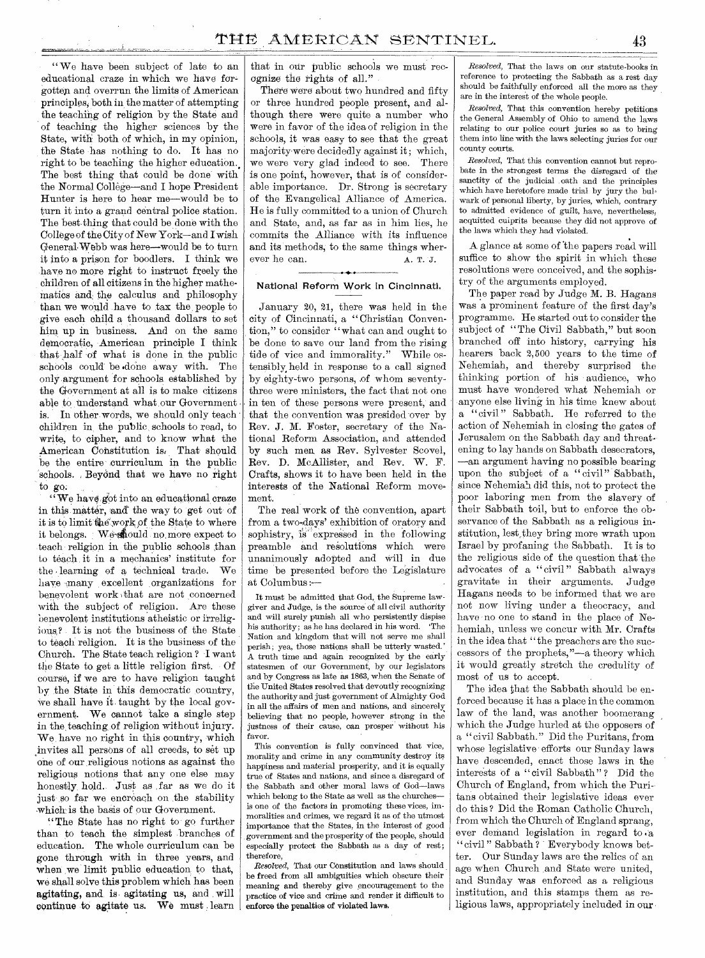" We have been subject of late to an educational craze in which we have forgotten and overrun the limits of American principles; both in the matter of attempting the teaching of religion by the State and of teaching the higher sciences by the State, with both of which, in my opinion, the State has nothing to do. It has no right to be teaching the higher education.. The best thing that could be done with. the Normal College—and I hope President Hunter is here to hear me—would be to turn it into a grand central police station. The best thing that could be done with the College of the City of New York—and I wish. GeneralWebb was here—would be to turn it into a prison for boodlers. I think we have no more right to instruct freely the children of all citizens in the higher mathematics and the calculus and philosophy than we would have to tax the people to give each child a thousand dollars to set him. up in business. And on the same democratic, American principle I think that half of what is done in the public schools could be .done away with. The only argument for schools established by the Government at all is to make citizens able to understand what, our Government is. In other words, we should only teach children in the public, schools to read, to write, to cipher, and to know what the American Constitution is, That should be the entire curriculum in the public schools. Beyond that we have no right to go.

"We have got into an educational craze in this matter, and the way to get out of it is to limit the work of the State to where it belongs. We should no more expect to teach religion in the public schools than to teach it in a mechanics' institute for the learning of a technical trade. We have many excellent organizations for benevolent work )that are not concerned with the subject of religion. Are these benevolent institutions atheistic or irreligious,? It is not the business of the State to teach religion. It is the business of the Church. The State teach religion ? I want the State to get a little religion first. Of course, if we are to have religion taught by the State in this democratic country, We shall have it taught by the local government. We cannot take a single step in the teaching of religion without injury. We, have no right in this country, which °invites all persons of all creeds, to set up one of our religious notions as against the religious notions that any one else may honestly, hold. Just as far as we do it just so far we encroach on the stability which is the basis of our Government.

" The State has no right to go further than to teach the simplest branches of education. The whole curriculum can be gone through with in three years, and when we limit public education to that, we shall solve this problem which has been agitating, and is. agitating us, and will continue to agitate us. We must learn that in our public schools we must recognize the rights of all."

There were about two hundred and fifty or three hundred people present, and although there were quite a number who were in favor of the idea of religion in the schools, it was easy to see that the great majority were decidedly against it; which, we were very glad indeed to see. There is one point, however, that is of considerable importance. Dr. Strong is secretary of the Evangelical Alliance of America. He is fully committed to a union of Church and State, and, as far as in him lies, he commits the Alliance with its influence and its methods, to the same things wherever he can. A. T. J. • •

# **National Reform Work in Cincinnati.**

January 20, 21, there was held in the city of Cincinnati, a "Christian Convention," to consider "what can and ought to be done to save our land from the rising tide of vice and immorality." While ostensibly, held in response to a call signed by eighty-two persons, .of whom seventythree were ministers, the fact that not one in ten of these persons were present, and that the convention was presided over by Rev. J. M. Foster, secretary of the National Reform Association, and attended by such men, as Rev. Sylvester Scovel, Rev. D. McAllister, and Rev. W. F. Crafts, shows it to have been held in the interests of the National Reform movement.

The real work of the convention, apart from a two-days' exhibition of oratory and sophistry, is expressed in the following preamble and resolutions which were unanimously adopted and will in due time be presented before the Legislature at Columbus;----

It must be admitted that God, the Supreme lawgiver and Judge, is the source of all civil authority and will surely punish all who persistently dispise his authority; as he has declared in his word. Nation and kingdom that will not serve me shall perish; yea, those nations shall be utterly wasted.' A truth time and again recognized by the early statesmen of our Government, by our legislators and by Congress as late as 1863, when the Senate of the United States resolved that devoutly recognizing the authority and just government of Almighty God in all the affairs of men and nations, and sincerely, believing that no people, however strong in the justness of their cause, can prosper without his favor.

This convention is fully convinced that vice, morality and crime in any community destroy its happiness and material prosperity, and it is equally true of States and nations, and since a disregard of the Sabbath and other moral laws of God—laws which belong to the State as well as the churches is one of the factors in promoting these vices, immoralities and crimes, we regard it as of the utmost importance that the States, in the interest of good government and the prosperity of the people, should especially protect the Sabbath as a day of rest; therefore,

*Resolved,* That our Constitution and laws should be freed from all ambiguities which obscure their meaning and thereby give encouragement to the practice of vice and crime and render it difficult to enforce the penalties of violated laws,

*Resolved,* That the laws on our statute-books in reference to protecting the Sabbath as a rest day should be faithfully enforced all the more as they are in the interest of the whole people.

*Resolved,* That this convention hereby petitions the General Assembly of Ohio to amend the laws relating to our police court juries so as to bring them into line with the laws selecting juries for out county courts.

*Resolved,* That this convention cannot but reprobate in the strongest terms the disregard of the sanctity of the judicial oath and the principles which have heretofore made trial by jury the bulwark of personal liberty, by juries, which, contrary to admitted evidence of guilt, have, nevertheless, acquitted culprits because they did not approve of the laws which they had violated.

A glance at some of 'the papers read will suffice to show the spirit in which these resolutions were conceived, and the sophistry of the arguments employed.

The paper read by Judge M. B. Hagans was a prominent feature of the first day's programme. He started out to consider the subject of "The Civil Sabbath," but soon branched off into history, carrying his hearers back 2,500 years to the time of Nehemiah, and thereby surprised the thinking portion of his audience, who must have wondered what Nehemiah or anyone else living in his time knew about a " civil " Sabbath. He referred to the action of Nehemiah in closing the gates of Jerusalem on the Sabbath day and threat, ening to lay hands on Sabbath desecrators, —an argument having no possible bearing upon the subject of a " civil" Sabbath, since Nehemiah did this, not to protect the poor laboring men from the slavery of their Sabbath toil, but to enforce the observance of the Sabbath as a religious institution, lest, they bring more wrath upon Israel by profaning the Sabbath. It is to the religious side of the question that the advocates of a "civil" Sabbath always gravitate in their arguments. Judge Hagans needs to be informed that we are not now living under a theocracy, and have no one to stand in the place of Nehemiah, unless we concur with Mr. Crafts in the idea that "the preachers are the successors of the prophets,"—a theory which it would greatly stretch the credulity of most of us to accept.

The idea that the Sabbath should be enforced because it has a place in the common law of the land, was another boomerang which the Judge hurled at the opposers of a "civil Sabbath." Did the Puritans, from whose legislative efforts our Sunday laws have descended, enact those laws in the interests of a "civil Sabbath"? Did the Church of England, from which the Puritans obtained their legislative ideas ever do this ? Did the Roman Catholic Church, from which the Church of England sprang, ever demand legislation in regard to a " civil " Sabbath ? Everybody knows better. Our Sunday laws are the relics of an age when Church and State were united, and Sunday was enforced as a religious institution, and this stamps them as religious laws, appropriately included in our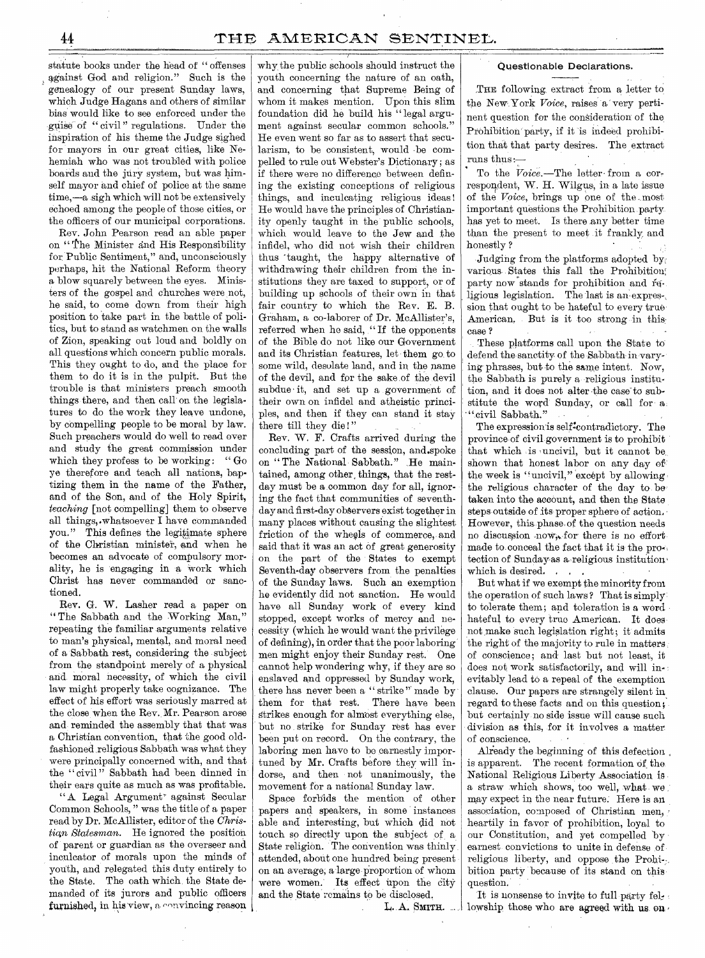statute books under the head of " offenses against God and religion." Such is the genealogy of our present Sunday laws, which Judge Hagans and others of similar bias would like to see enforced under the guise of " civil " regulations. Under the inspiration of his theme the Judge sighed for mayors in our great cities, like Nehemiah who was not troubled with police boards and the jury system, but was himself mayor and chief of police at the same time,—a sigh which will not be extensively echoed among the people of those cities, or the officers of our municipal corporations.

Rev. John Pearson read an able paper on " the Minister and His Responsibility for Public Sentiment," and, unconsciously perhaps, hit the National Reform theory a blow squarely between the eyes. Ministers of the gospel and churches were not, he said, to come down from their high position to take part in the battle of politics, but to stand as watchmen on the walls of Zion, speaking out loud and boldly on all questions which concern public morals. This they ought to do, and the place for them to do it is in the pulpit. But the trouble is that ministers preach smooth things there, and then call on the legislatures to do the work they leave undone, by compelling people to be moral by law. Such preachers would do well to read over and study the great commission under which they profess to be working: "Go ye therefore and teach all nations, baptizing them in the name of the Father, and of the Son, and of the Holy Spirit, *teaching* [not compelling] them to observe all things,.whatsoever I have commanded you." This defines the legitimate sphere of the Christian minister, and when he becomes an advocate of compulsory morality, he is engaging in a work which Christ has never commanded or sanctioned.

Rev. G. W. Lasher read a paper on " The Sabbath and the Working Man," repeating the familiar arguments relative to man's physical, mental, and moral need of a Sabbath rest, considering the subject from the standpoint merely of a physical and moral necessity, of which the civil law might properly take cognizance. The effect of his effort was seriously marred at the close when the Rev. Mr. Pearson arose and, reminded the assembly that that was a Christian convention, that the good oldfashioned religious Sabbath was what they were principally concerned with, and that the "civil" Sabbath had been dinned in their ears quite as much as was profitable.

"A Legal Argument' against Secular Common Schools, " was the title of a paper read by Dr. McAllister, editor of the *Christian Statesman.* He ignored the position of parent or guardian as the overseer and inculcator of morals upon the minds of youth, and relegated this duty entirely to the State. The oath which the State demanded of its jurors and public officers furnished, in his view, a convincing reason why the public schools should instruct the youth concerning the nature of an oath, and concerning that Supreme Being of whom it makes mention. Upon this slim foundation did he build his " legal argument against secular common schools." He even went so far as to assert that secularism, to be consistent, would -be compelled to rule out Webster's Dictionary; as if there were no difference between defining the existing conceptions of religious things, and inculcating religious ideas ! He would have the principles of Christianity openly taught in the public schools, which would leave to the Jew and the infidel, who did not wish their children thus 'taught, the happy alternative of withdrawing their children from the institutions they are taxed to support, or of building up schools of their own in that fair country to which the Rev. E. B. Graham, a co-laborer of Dr. McAllister's, referred when ho said, " If the opponents of the Bible do not like our Government and its Christian features, let them go to some wild, desolate land, and in the name of the devil, and for the sake of the devil subdue it, and set up a government of their own on infidel and atheistic principles, and then if they can stand it stay there till they die!"

Rev. W. F. Crafts arrived during the concluding part of the session, and.spoke on " The National Sabbath." He maintained, among other, things, that the restday must be a common day for all, ignoring the fact that communities of seventhday and first-day observers exist together in many places without causing the slightest friction of the wheels of commerce, and said that it was an act of great generosity on the part of the States to exempt Seventh-day observers from the penalties of the Sunday laws. Such an exemption he evidently did not sanction. He would have all Sunday work of every kind stopped, except works of mercy and necessity (which he would want the privilege of defining), in order that the poor laboring' men might enjoy their Sunday rest. One cannot help wondering why, if they are so enslaved and oppressed by Sunday work, there has never been a " strike" made by them for that rest. There have been Strikes enough for almost everything else, but no strike for Sunday rest has ever been put on record. On the contrary, the laboring men have to be earnestly importuned by Mr. Crafts before they will indorse, and then not unanimously, the movement for a national Sunday law.

Space forbids the mention of other papers and speakers, in some instances able and interesting, but which did not touch so directly upon the subject of a State religion. The convention was thinly attended, about one hundred being present on an average, a large proportion of whom were women. Its effect upon the city and the State remains to be disclosed.

 $L. A.$  SMITH.  $\ldots$ 

### Questionable Declarations.

THE following extract from a letter to the New York *Voice*, raises a very pertinent question for the consideration of the Prohibition party, if it 'is indeed prohibition that that party desires. The extract runs thus: $\frac{1}{T}$ 

To the *Voice*.—The letter-from a correspondent, W. H. Wilgus, in a late issue of the *Voice,* brings up one of the., most important questions the Prohibition party has yet to meet. Is there any better time than the present to meet it frankly and honestly ?

Judging from the platforms adopted byr various States this fall the Prohibition; party now stands for prohibition and religious legislation. The last is an expression that ought to be hateful to every true American. But is it too strong in this; case ?

These platforms call upon the State to defend the sanctity of the Sabbath in varying phrases, but to the same intent. Now, the Sabbath is purely a religious institution, and it does not alter the case to substitute the word Sunday, or call for a\_ ".civil Sabbath."

The expression is self<sup>2</sup>contradictory. The province of civilgovernment is to prohibit that which is uncivil, but it cannot be shown that honest labor on any day of the week is "uncivil," except by allowing the religious character of the day to be. taken into the account, and then the State steps outside of its proper sphere of action, However, this phase, of the question needs no discussion now, for there is no effort. made to. conceal the fact that it is the protection of Sunday as a religious institution. which is desired. . . .

But what if we exempt the minority from the operation of such laws ? That is simply to tolerate them; and toleration is a word hateful to every true American. It does not make such legislation right; it admits the right of the majority to rule in matters of conscience; and' last but not least, it does not work satisfactorily, and will inevitably lead to a repeal of the exemption clause. Our papers are strangely silent in, regard to these facts and on this question ; but certainly no side issue will cause such division as this, for it involves a matter of conscience.

Already the beginning of this defection. is apparent. The recent formation of the. National Religious Liberty Association is a straw which shows, too well, what we may expect in the near future. Here is an association, composed of Christian men, heartily in favor of prohibition, loyal to our Constitution, and yet compelled by earnest convictions to unite in defense of religious liberty, and oppose the Probi-; bition party because of its stand on this question.

It is nonsense to invite to full party fel:. lowship those who are agreed with us on.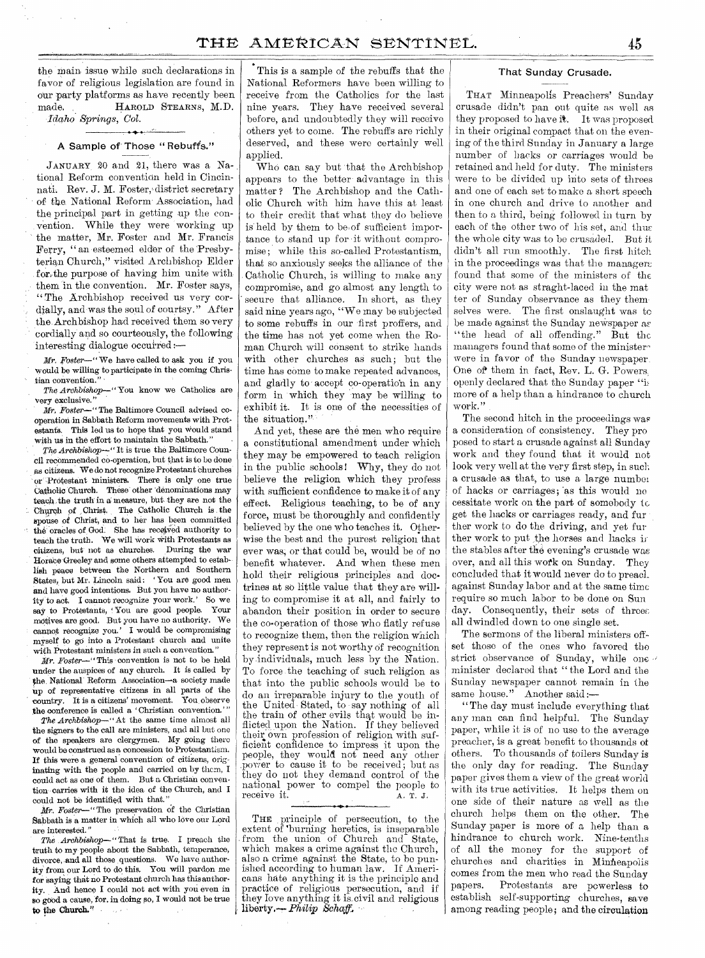the main issue while such declarations in favor of religious legislation are found in our party platforms as have recently been made. HAROLD STEARNS, M.D. *Idaho Springs, Col.* 

# A Sample of Those "Rebuffs."

JANUARY 20 and 21, there was a National Reform convention held in Cincinnati. Rev. J. M. Foster, district secretary of the. National Reform.Association, had the principal part in getting up the convention. While they were working up the matter, Mr. Foster and Mr. Francis Ferry, "an esteemed elder of the Presbyterian Church," visited Archbishop Elder for,the purpose of having him unite with them in the convention. Mr. Foster says, "The Archbishop received us very cordially, and was the soul of courtsy." After the Archbishop had received them so very cordially and so courteously, the following interesting dialogue occurred *;—* 

*Mr. Foster—"* We have called to ask you if you would be willing to participate in the coming Christian convention." *-* 

*The Archbishop—"* You know we Catholics are very exclusive."

*Mr. Foster—"* The Baltimore Council advised cooperation in Sabbath Reform movements with Protestants. This led us to hope that you Would stand with us in the effort to maintain the Sabbath.'

*The Archbishop--"* It is true the Baltimore Council recommended co-operation, but that is to be done As citizens. We do not recognize Protestant churches or Protestant ministers. There is only one true Catholic Church. These other 'denominations may teach the truth in a measure, but they are not the Church of Christ, The Catholic Church is the spouse of Christ, and to her has been committed the oracles of God. She has received authority to teach the truth. We will Work With Protestants as citizens, but not as churches. During the war Ilorate-Greeley and some others attempted to establish peace between the Northern and Southern States)but Mr. Lincoln said; ' You are good men and have good intentions. But you have no authority to act. I cannot recognize your work.' So we say to Protestants, You are good people. Your motives are good, But you have no authority. We cannot recognize you.' I would be compromising myself to go into a Protestant church and unite with Protestant ministers in such a convention.'

*Mr. Foster—"* This convention is not to be held under the auspices of any church, It is called by the National Reform Association—a society made Up of representative citizens in all parts of the country. It is a citizens' movement. You. observe the conference is called a 'Christian convention.''

*The Archbishop—"* At the same time almost all the signers to the call are ministers, and all but one of the speakers are clergymen. My going there would be construed as a concession to Protestantism. If this were a general convention' of citizens, originating with the people and carried on by then, I could act as one of them. But a Christian convention carries with it the idea of the Church, and I could not be identified with that."

*Mr. Foster—"* The preservation of the Christian Sabbath is a matter in which all who love our Lord are interested."

*The .Archbishop—"*That is true. I preach the truth to my people about the Sabbath, temperance, divorce, and all those questions. We have authority from our Lord to do this. You will pardon me for saying that no Protestant church has this authority. And hence I could not act with you even in so good a cause, for, in doing so, I would not be true to the Church."

This is a sample of the rebuffs that the National Reformers have been willing to receive from the Catholics for the last nine years. They have received several before, and undoubtedly they will receive others yet to come. The rebuffs are richly deserved, and these were certainly well applied.

Who can say but 'that the Archbishop appears to the better- advantage in this matter ? The Archbishop and the Catholic Church with him have this at least to their credit that what they do believe is' held by them to be of sufficient importance to stand up for it without compromise; while this so-called Protestantism, that so anxiously seeks the alliance of the Catholic Church, is willing to make any compromise, and go almost any length to secure that alliance. In short, as they said nine years ago, "We may be subjected to some rebuffs in our first proffers, and the time has not yet come when the Roman Church will consent to strike hands with other churches as such; but the time has come to make repeated advances, and gladly to accept co-operatio'n in any form in which they may be willing to exhibit it. It is one of the necessities of the situation."

And yet, these are the men who require a constitutional amendment under which they may be empowered to teach religion in the public schools! Why, they do not believe the religion which they profess with sufficient confidence to make it of any effect. Religious teaching, to be of any force, must be thoroughly and confidently believed by the one who teaches it. Otherwise the best and the purest religion that ever was; or that could be, would be of no benefit whatever. And when these men hold their religious principles and doctrines at so little value that they are willing to compromise it at all, and fairly to abandon their position in order to secure the co-operation of those who flatly refuse to recognize them, then the religion which they represent is not worthy of recognition by individuals, much less by the Nation. To force the teaching of such religion as that into the public schools would be to do an irreparable injury to the youth of the United Stated, to say nothing of all the train of other evils that would be inflicted upon the Nation. If they believed their own profession of religion with sufficient confidence to impress it upon the people, they would not need any other power to cause it to be received; but as they do not they demand control of the national power to compel the people to receive it.  $A. T. J.$ receive it.

THE principle of persecution, to the extent of 'burning heretics, is inseparable from the union of Church and State, which makes a crime against the Church, also a crime against the State, to be punished according to human law. If Americans hate anything it is the principle and practice of religious persecution, and *if*  they love anything it is. civil and religious liberty.— *Philip Schaff,* 

# That Sunday Crusade.

THAT Minneapolis Preachers' Sunday crusade didn't pan out quite as well as they proposed to have it. It was proposed in their original compact that on the evening of the third Sunday in January a large number of hacks *or* carriages would be retained and held for duty. The ministers were to be divided up into sets of threes and one of each set to make a short speech in one church and drive to another and then to a third, being followed in turn by each of the other two of his set, and thus the whole city was to be crusaded. But it didn't all run smoothly. The first hitch in the proceedings was that the managers found that some of the ministers of the city were not as straght-laced in the mat ter of Sunday observance as they them. selves were. The first onslaught was to be made against the Sunday newspaper ar "the head of all offending." But the managers found that some of the ministerwere in favor of the Sunday newspaper. One of them in fact, Rev. L. G. Powers, openly declared that the Sunday paper "it more of a help than a hindrance to church work."

The second hitch in the proceedings was a consideration of consistency. They pro posed to start a crusade against all Sunday work and they found that it would not look very well at the very first step, in such a crusade 'as that, to use a large number of hacks or carriages; 'as this would no cessitate work on the part of somebody to get the hacks or carriages ready, and fur ther work to do the driving, and yet fur ther work to put the horses and hacks in the stables after the evening's crusade was over, and all this work on Sunday. They concluded that it would never do to preach. against Sunday labor and at the same time require so much labor to be done on Sun day. Consequently, their sets of threes all dwindled down to one single set.

The sermons of the liberal ministers offset those of the ones who favored the strict observance of Sunday, while one minister declared that " the Lord and the Sunday newspaper cannot remain in the same house." Another said :-

"The day must include everything that any man can find helpful. The Sunday paper, while it is of no use to the average preacher, is a great benefit to thousands of others. To thousands of toilers Sunday is the only day for reading. The Sunday paper gives them a view of the great world with its true activities. It helps them on one side of their nature as well as the church helps them on the other. The Sunday paper is more of a help than a hindrance to church work. Nine-tenths of all the money for the support of churches and charities in Minneapolis comes from the men who read the Sunday<br>papers. Protestants are powerless to Protestants are powerless to establish self-supporting churches, save among reading people; and the circulation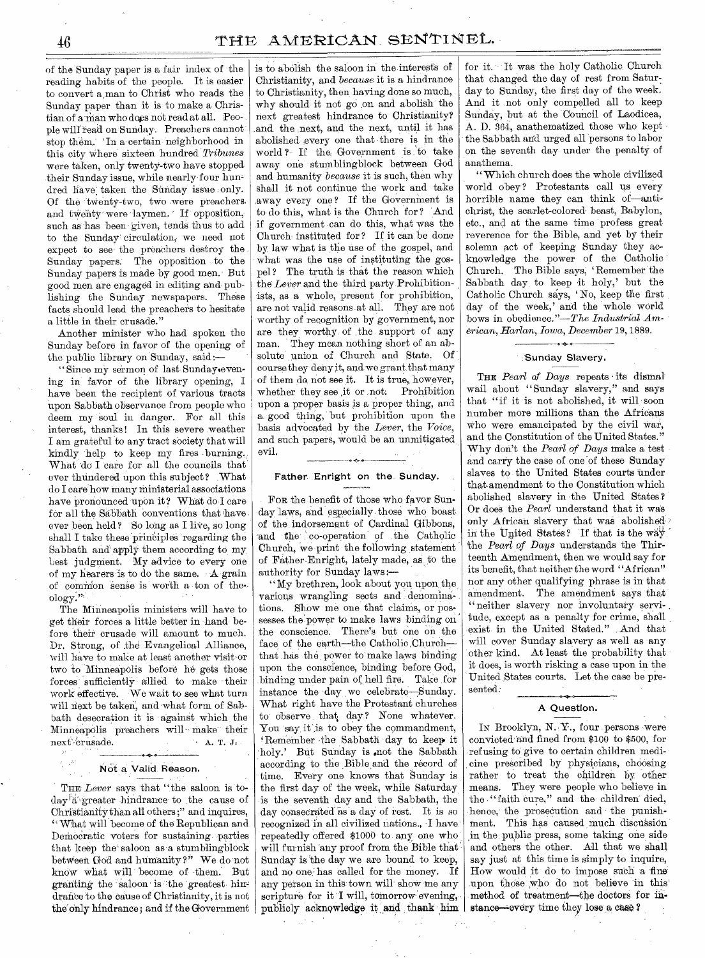of the Sunday paper is a fair index of the reading habits of the people. It is easier to convert a,man to Christ who reads the Sunday paper than it is to make a Christian of a man who does not read at all. People wilt read on-Sunday. Preachers cannot stop them.; 'In a certain neighborhood in this city Where sixteen hundred *Tribunes*  were taken, only twenty-two have stopped their Sunday issue, while nearly four hum dred have taken the Sunday issue only. Of the twenty-two, two were preachers. and twenty were laymen. If opposition, such as has been given, tends thus to add to the Sunday' circulation, we need not expect to see the preachers destroy the Sunday papers. The opposition to the Sunday papers is made by good men. But good men are engaged in editing and, publishing the Sunday newspapers. These facts should lead the preachers to hesitate a little in their crusade."

Another minister who had spoken the Sunday before in favor of the opening of the public library on Sunday, said:—

"Since my sermon of last Sunday.evening in favor of the library opening, I have been the recipient of various tracts Upon Sabbath observance from people who deem my soul in danger. For all this interest, thanks ! In this severe weather I am grateful to any tract society that will kindly help to keep my fires burning. What do I care for all the councils that ever thundered upon this subject? What do I care how many ministerial associations have pronounced upon it? What do I care for all the Sabbath conventions that have ever been held ? So long as I live, so long shall I take these principles regarding the Sabbath and apply them according to my best judgment. My advice to every one of my hearers is to do the same. A grain of common sense is worth a ton of theology.'

The Minneapolis ministers will have to get their forces a little better in hand before their crusade will amount to much. Dr. Strong, of the Evangelical Alliance, will have to make at least another visit or two to Minneapolis before he gets those forces sufficiently allied to make their work effective. We wait to see what turn will next be taken, and what form of Sabbath desecration it is against which the Minneapolis preachers will make their next crusade.  $\mathbf{A}$ , T. J. ass

# Not a Valid Reason.

THE *Lever* says that "the saloon is today<sup>f</sup>a<sup>t</sup>,greater hindrance to the cause of Christianity than all others;" and inquires, " What will become of the Republican and Democratic voters for sustaining parties that keep the saloon as a stumblingblock betWeen God and humanity?" We do not knew what will become of them. But granting the saloon is the greatest hindrance to the Cause of Christianity, it is not the only hindrance; and if the Government

is to abolish the saloon in the interests Of Christianity, and *because* it is a hindrance to Christianity, then having done so much, why should it not go" on and abolish the next greatest hindrance to Christianity? and the next, and the next, until it has abolished every one that there is in the world ? If the Government is to take away one stumblingblock between God and humanity *because* it is such, then why shall it not continue the work and take .away every one ? If the Government is to do this, what is the Church for? And if government can do this, what was the Church instituted for ? If it can be done by law what is the use of the gospel, and what was the use of instituting the gospel ? The truth is that the reason which the *Lever* and the third party-Prohibitionists, as a whole, present for prohibition, are not valid reasons at all. They are not worthy of recognition by government, nor are they worthy of the support of any man. They mean nothing short of an absolute union of Church and State. Of course they deny it, and we grant that many of them do not see it. It is true, however, whether they see it or not. Prohibition upon a proper basis is a proper thing, and a, good thing, but prohibition upon the basis advocated by the *Lever,* the *Voice,*  and such papers, would be an unmitigated evil. eon

# Father. Enright on the. Sunday.

FOR the benefit of those who favor Sunday laws, and especially those who boast of the indorsement of Cardinal Gibbons, 'and the' co-operation' of the Catholic Church, we print the following statement of Father Enright, lately made, as. to the authority for Sunday laws :—

" My brethren, look about you upon the, various wrangling sects and denominations. Show me one that claims, or possesses the power to make laws binding on the conscience. There's but one on the face of the earth—the Catholic Church that has the power to' make laws binding upon the conscience, binding before God, binding under pain of hell fire. Take for instance the day we celebrate-Sunday. What right have the Protestant churches to observe that day? None whatever. You say it is to obey the commandment, 'Remember the Sabbath day to keep it holy.' But Sunday is not the Sabbath according to the Bible and the record of time. Every one knows that Sunday is the first day of the week, while Saturday is the seventh day and the Sabbath, the day consecrated as a day of rest. It is so recognized in all civilized nations., I have.' repeatedly offered \$1000 to any one who' will furnish 'any proof from the Bible that Sunday is the day we are bound to keep, and no one has called for the money. If any person in this town will' show me any scripture for it I will, tomorrow evening, publicly acknowledge it and thank him

for it. It was the holy Catholic Church that changed the day of rest from Saturday to Sunday, the first day of the week. And it not only compelled all to keep Sunday, but at the Council of Laodicea, A. D. 364, anathematized those who kept the Sabbath and urged all 'persons to labor on the seventh day under the penalty of anathema.

" Which church does the whole civilized world obey? Protestants call us every horrible name they can think of—antichrist, the scarlet-colored,beast, Babylon, etc., and at the same time profess great reverence for the Bible, and yet by their solemn act of keeping Sunday they acknowledge the power of the Catholic Church. The Bible says, ' Remember the Sabbath day, to keep it holy,' but the Catholic Church says, ' No, keep the first day of the week,' and the whole world bows in obedience."—The *Industrial American, Harlan, Iowa, December* 19,1889.

### Sunday Slavery.

THE *Pearl of Days* repeats its dismal wail about "Sunday slavery," and says that "if it is not abolished, it will soon number more millions than the Africans who were emancipated by the civil war, and the Constitution of the United States.' Why don't the *Pearl of Days* make a test and carry the case of one 'of these Sunday slaves to the United States courts under that amendment to the Constitution which abolished slavery in the United States ? Or does the *Pearl* understand that it was only African slavery that was abolished' in the United States? If that is the way. the *Pearl of* Days understands the Thirteenth Amendment, then we would say for its benefit, that neither the word "African" nor any other qualifying phrase is in that amendment. The amendment says that " neither slavery nor involuntary servitude, except as a penalty for crime, shall exist in the United Stated." And that will cover Sunday slavery as well as any other kind. At least the probability that it does, is worth risking a case upon in the United States courts. Let the case be presented:

# A Question.

In Brooklyn, N.Y., four persons were convicted'and fined from \$100 to \$500, for refusing to give to certain children medi cine prescribed by physicians, choosing rather to treat the children by other means. They were people who believe in the "faith cure," and the children died, hence, the prosecution and the punishment. This has caused much discussion .in the: public press, some taking one side and others the other. All that we shall say just at this time is simply to inquire, How would it do to impose such a fine upon those who do not believe in this method of treatment—the doctors for instance--every time they lose a case?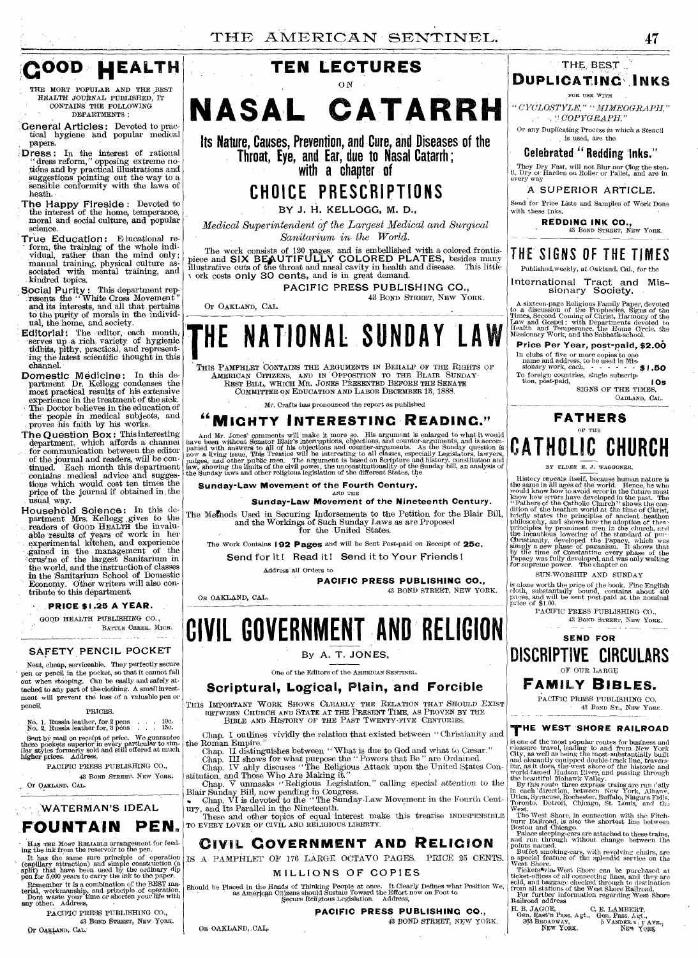

THE MORT POPULAR AND THE ,BEST HEALTH JOURNAL PUBLISHED, IT CONTAINS THE FOLLOWING DEPARTMENTS:

General Articles: Devoted to practical hygiene and popular medical papers.

- Dress: In the interest of rational "dress reform," opposing extreme no-<br>tions and by practical illustrations and suggestions pointing out the way to a Sensible conformity with the laws of heath.
- The Happy Fireside : Devoted to the interest of the home, temperance, moral and social culture, and popular science.
- True Education: E lucational re-<br>form, the training of the whole individual, rather than the mind only; manual training, physical culture as-sociated with mental training, and kindred topics.
- Social Purity: This department rep-<br>resents the "White Cross Movement" and its interests, and all that pertains to the purity of morals in the indiVid-ual, the home, and society.
- Editorial: The editor, each month, serves up a rich variety of hygienic tidbits, pithy, practical, and representing the latest scientific thought in this channel.
- Domestic Medicine: In this department Dr. Kellogg condenses the most practical results of his extensive experience in the treatment of the sick. The Doctor believes in the education of the people in medical subjects, and . proves his faith by his works.
- The Question Box: This interesting<br>department, which affords a channel<br>for communication between the editor of the journal and readers, will be contained. Each month this department contains medical advice and suggestions which would cost ten times the price of the journal if obtained in , the usual, way.
- Household Science: In this de-partment Mrs. Kellogg , *gives* to the readers of GOOD HEALTH the invaluable :results of years of work in her experimental kitchen, and experience gained in the management of the erusine of the largest Sanitarium in the world, and the instruction of classes *in* the Sanitarium School of Domestic Economy. Other writers will also contribute to this department.

#### **PRICE \$1.25 A YEAR.**

GOOD HEALTH PUBLISHING CO. , BATTLE CREEK. MICH.

#### SAFETY PENCIL POCKET

Neat, cheap, serviceable. They perfectly secure pen or pencil in the pocket, so that it cannot fall out when stooping. Can be *easily* and safely at-tached to any part of the clothing. A small invest-ment will prevent the loss of a valuable pen or pencil.

#### PRICES.

No. 1. Russia leather, for 2 pens , . . . 10c.<br>No. 2. Russia leather for, 3 pens , . . . . 15c.

Sent by mail on receipt of price. We guarantee these pockets superior in every particular to sim-ilar styles formerly sold and still offered at much higher prices. Address,

PACIFIC PRESS PUBLISHING CO., 43 BOND STREET, NEW YORK.

Or OAKLAND, CAL.

# **WATERMAN'S IDEAL**

# **FOUNTAIN PEN.**

Has The Most Reliable arrangement for feeding the link from the reservoir to the pen.<br>It has the same sure principle of operation (capillary attraction) and simple construction (a split) that have been used by the ordinary

Remember it is a combination of the BEST ma-terial, workmanship, and principle of operation. Dont waste your time or shorten your life with any other. Address,

PACIFIC PRESS PUBLISHING CO., 43 BOND STREET, NEW YORK-Or OAKLAND, CAL.



# **NASAL CATARRH**

**Its Nature, Causes, Prevention, and Cure, and Diseases of the Throat, Eye, and Ear, due to Nasal Catarrh ; with a chapter of** 

# **CHOICE PRESCRIPTIONS**

BY J. H. KELLOGG, M. **D.,** 

*Medical Superintendent of the Largest Medical and Surgical* 

The work consists of 120 pages, and is embellished with a colored frontis-<br>piece and SIX BEAUTIFULLY COLORED PLATES, besides many<br>illustrative cuts of the throat and nasal cavity in health and disease. This little<br>v ork co

PACIFIC PRESS PUBLISHING CO.,

Or OAKLAND, CAL.

OR OAKLAND, CAL.

OR OAKLAND, CAL.

43 BOND STREET, NEW YORK.

# **HE NATIONAL SUNDAY LAW**

THIS PAMPHLET CONTAINS THE ARGUMENTS IN BEHALF OF THE RIGHTS OF AMERICAN CITIZENS, AND IN OPPOSITION TO THE BLAIR SUNDAY-REST BILL, WHICH MR. JONES PRESENTED BEFORE THE SENATE COMMITTEE ON EDUCATION AND LABOR DECEMBER 13, 1888.

Mr. Crafts has pronounced the report as published

# **"MIGHTY INTERESTING READING."**

And Mr. Jones' comments will make it more so. His argument is enlarged to what it would<br>have been without Senator Blair's interruptions, objections, and counter-arguments, and is accom-<br>panied with answers to all of his ob

#### Sunday-Law **Movement of the Fourth Century.**  AND THE

**Sunday-Law Movement of the Nineteenth Century.** 

The Methods Used in Securing Indorsements to the Petition for the Blair Bill, and the Workings of Such Sunday Laws as are Proposed for the United States.

The Work Contains 192 **Pages** and will be Sent Post-paid on Receipt of **25c.**  Send for it! Read it! Send it to Your Friends!

Address all Orders to

**PACIFIC PRESS PUBLISHING CO.,**  43 BOND STREET, NEW YORK.

**CIVIL GOVERNMENTAND RELIGION** 

By A. T. JONES,

One of the Editors of the AMERICAN SENTINEL.

# **Scriptural, Logical, Plain, and Forcible**

THIS IMPORTANT WORK SHOWS CLEARLY THE RELATION THAT SHOULD EXIST BETWEEN CHURCH AND STATE AT THE PRESENT TIME, AS PROVEN BY THE BIBLE AND HISTORY OF THE PAST TWENTY-FIVE CENTURIES.

Chap. I outlines vividly the relation that existed between " Christianity and

the Roman Empire."<br>
Chap. II distinguishes between "What is due to God and what to Cæsar."<br>
Chap. III shows for what purpose the "Powers that Be" are Ordained.<br>
Chap. IV ably discusss "The Religious Attack upon the United

stitution, and Those Who Are Making it." Chap. V unmasks "Religious Legislation," calling special attention to the

Blair Sunday Bill, now pending in Congress. Chap. VI is devoted to the "The Sunday-Law Movement in the Fourth Century, and Its Parallel in the Nineteenth.

These and other topics of equal interest make this treatise INDISPENSIBLE TO EVERY LOVER OF CIVIL AND RELIGIOUS LIBERTY.

# **CIVIL GOVERNMENT AND RELICION**

IS A PAMPHLET OF 176 LARGE OCTAVO PAGES. PRICE 25 CENTS.

MILLIONS OF COPIES

Should be Placed in the Hands of Thinking People at once. It Clearly Defines what Position We, as American Citizens should Sustain Toward the Effort now on Foot to Secure Religious Legislation. Address,

### **PACIFIC PRESS PUBLISHING CO.,**

43 BOND STREET, NEW YORK.

**FATHERS** 

SIGNS OF THE TIMES

OADLAND, CAL.

# **CATHOLIC CHURCH**

OF THE

*BY ELDER E. J. WAGGONER.* 

History repeats itself, because human nature is<br>the same in all ages of the world. Hence, he who<br>we have been word in the past. The who<br>who know how to avoid error in the future must<br>know how revers have developed in the

SUN-WORSHIP AND SUNDAY

is alone worth the price of the hook. Fine English cloth, substantially bound, contains about 400 pages, and will be sent post-paid at the nominal price of \$1.00.

PACIFIC PRESS PUBLISHING CO., 43 BOND STREET, NEW YORK.



# **FAMILY BIBLES.**

PACIFIC PRESS PUBLISHING CO. 43 BOND ST., NEW YORK.

# **THE WEST 'SHORE RAILROAD**

is one of the most popular routes for business and<br>releasure travel, leading to and from New York Telesure curvel, then<br>City, as well as being the most substantially built<br>and elegantly couplyed double-track line, travers

The West Shore, in connection with the Fitchburg Railroad, is also the shortest line between Boston and Chicago.<br>Boston and Chicago.<br>and Chicago is a state also the strains, and a unumbrough without change between the<br>poi

H. B. JAGOE, C. E. LAMBERT, Gen. Pass. Agt., Gen. Pass. Agt., C. E. LAMBERT, 363. Agt., C. E. AVE., Norw York,

**DUPLICATINC',INKS**  FOR USE WITH " *CYOLOSTYLE,*   $\rightarrow$   $\degree$ COPYGRAPH." Or any Duplicating Process in which a Stencil is used, are the **Celebrated " Redding 'Inks."** 

THE BEST

They Dry Fast, will not Blur nor Clog the sten-<br>il, Dry or Harden on Roller or Pallet, and are incevery way A SUPERIOR ARTICLE. Send for Price Lists and Samples of Work Done

**REDDING INK CO.,** 

**THE SIGNS OF THE TIMES**  Published, weekly, at Oakland, Cal., for the International Tract and Missionary Society.

A sixteen-page Religious Family Paper, devoted<br>to a discussion of the Prophecies, Signs of the<br>Times, Second Coming of Christ, Harmony of the<br>Law and Gospel; with Departments devoted to<br>Health and Temperance, the Home Circ

**Price Per Year, post-paid, \$2.00** 

In clubs of five or more copies to one name and address, to be used in Mis-<br>
sionary work, each,  $\cdot$  51.50<br>
To foreign countries, single subscrip-<br>
tion, post-paid, I Os

43 BOND STREET, NEW YORK.

with these Inks.

# *Sanitarium in the World.*